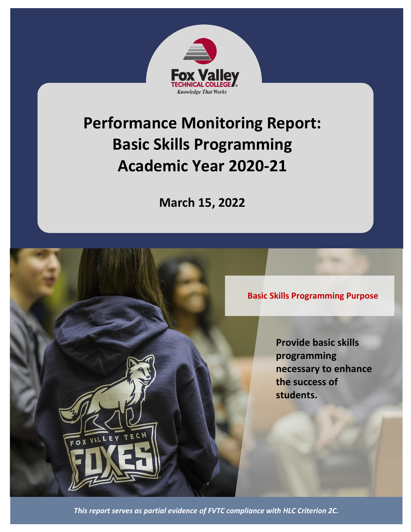

# **Performance Monitoring Report: Basic Skills Programming Academic Year 2020-21**

**March 15, 2022**

**Basic Skills Programming Purpose**

**Provide basic skills programming necessary to enhance the success of students.**

*This report serves as partial evidence of FVTC compliance with HLC Criterion 2C.*

OX VALL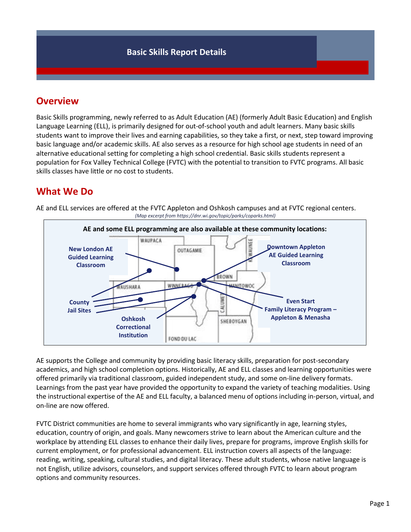## **Overview**

Basic Skills programming, newly referred to as Adult Education (AE) (formerly Adult Basic Education) and English Language Learning (ELL), is primarily designed for out-of-school youth and adult learners. Many basic skills students want to improve their lives and earning capabilities, so they take a first, or next, step toward improving basic language and/or academic skills. AE also serves as a resource for high school age students in need of an alternative educational setting for completing a high school credential. Basic skills students represent a population for Fox Valley Technical College (FVTC) with the potential to transition to FVTC programs. All basic skills classes have little or no cost to students.

# **What We Do**



AE and ELL services are offered at the FVTC Appleton and Oshkosh campuses and at FVTC regional centers. *(Map excerpt from https://dnr.wi.gov/topic/parks/coparks.html)*

AE supports the College and community by providing basic literacy skills, preparation for post-secondary academics, and high school completion options. Historically, AE and ELL classes and learning opportunities were offered primarily via traditional classroom, guided independent study, and some on-line delivery formats. Learnings from the past year have provided the opportunity to expand the variety of teaching modalities. Using the instructional expertise of the AE and ELL faculty, a balanced menu of options including in-person, virtual, and on-line are now offered.

FVTC District communities are home to several immigrants who vary significantly in age, learning styles, education, country of origin, and goals. Many newcomers strive to learn about the American culture and the workplace by attending ELL classes to enhance their daily lives, prepare for programs, improve English skills for current employment, or for professional advancement. ELL instruction covers all aspects of the language: reading, writing, speaking, cultural studies, and digital literacy. These adult students, whose native language is not English, utilize advisors, counselors, and support services offered through FVTC to learn about program options and community resources.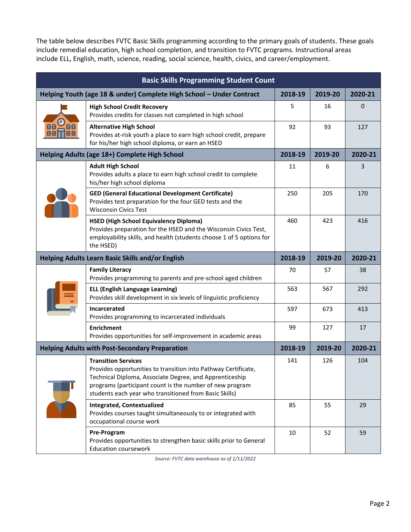The table below describes FVTC Basic Skills programming according to the primary goals of students. These goals include remedial education, high school completion, and transition to FVTC programs. Instructional areas include ELL, English, math, science, reading, social science, health, civics, and career/employment.

| <b>Basic Skills Programming Student Count</b>                        |                                                                                                                                                                                                                                                                               |         |         |         |  |  |
|----------------------------------------------------------------------|-------------------------------------------------------------------------------------------------------------------------------------------------------------------------------------------------------------------------------------------------------------------------------|---------|---------|---------|--|--|
| Helping Youth (age 18 & under) Complete High School - Under Contract |                                                                                                                                                                                                                                                                               | 2018-19 | 2019-20 | 2020-21 |  |  |
| AA<br>Be<br>88<br>88 N                                               | <b>High School Credit Recovery</b><br>Provides credits for classes not completed in high school                                                                                                                                                                               | 5       | 16      | 0       |  |  |
|                                                                      | <b>Alternative High School</b><br>Provides at-risk youth a place to earn high school credit, prepare<br>for his/her high school diploma, or earn an HSED                                                                                                                      | 92      | 93      | 127     |  |  |
| Helping Adults (age 18+) Complete High School                        |                                                                                                                                                                                                                                                                               |         | 2019-20 | 2020-21 |  |  |
|                                                                      | <b>Adult High School</b><br>Provides adults a place to earn high school credit to complete<br>his/her high school diploma                                                                                                                                                     | 11      | 6       | 3       |  |  |
|                                                                      | <b>GED (General Educational Development Certificate)</b><br>Provides test preparation for the four GED tests and the<br><b>Wisconsin Civics Test</b>                                                                                                                          | 250     | 205     | 170     |  |  |
|                                                                      | <b>HSED (High School Equivalency Diploma)</b><br>Provides preparation for the HSED and the Wisconsin Civics Test,<br>employability skills, and health (students choose 1 of 5 options for<br>the HSED)                                                                        | 460     | 423     | 416     |  |  |
| <b>Helping Adults Learn Basic Skills and/or English</b>              |                                                                                                                                                                                                                                                                               | 2018-19 | 2019-20 | 2020-21 |  |  |
|                                                                      | <b>Family Literacy</b><br>Provides programming to parents and pre-school aged children                                                                                                                                                                                        | 70      | 57      | 38      |  |  |
|                                                                      | <b>ELL (English Language Learning)</b><br>Provides skill development in six levels of linguistic proficiency                                                                                                                                                                  | 563     | 567     | 292     |  |  |
|                                                                      | Incarcerated<br>Provides programming to incarcerated individuals                                                                                                                                                                                                              | 597     | 673     | 413     |  |  |
|                                                                      | <b>Enrichment</b><br>Provides opportunities for self-improvement in academic areas                                                                                                                                                                                            | 99      | 127     | 17      |  |  |
| <b>Helping Adults with Post-Secondary Preparation</b>                |                                                                                                                                                                                                                                                                               | 2018-19 | 2019-20 | 2020-21 |  |  |
|                                                                      | <b>Transition Services</b><br>Provides opportunities to transition into Pathway Certificate,<br>Technical Diploma, Associate Degree, and Apprenticeship<br>programs (participant count is the number of new program<br>students each year who transitioned from Basic Skills) | 141     | 126     | 104     |  |  |
|                                                                      | <b>Integrated, Contextualized</b><br>Provides courses taught simultaneously to or integrated with<br>occupational course work                                                                                                                                                 | 85      | 55      | 29      |  |  |
|                                                                      | Pre-Program<br>Provides opportunities to strengthen basic skills prior to General<br><b>Education coursework</b>                                                                                                                                                              | 10      | 52      | 59      |  |  |

*Source: FVTC data warehouse as of 1/11/2022*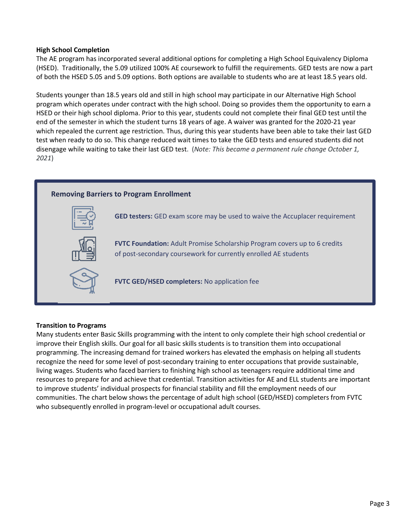### **High School Completion**

The AE program has incorporated several additional options for completing a High School Equivalency Diploma (HSED). Traditionally, the 5.09 utilized 100% AE coursework to fulfill the requirements. GED tests are now a part of both the HSED 5.05 and 5.09 options. Both options are available to students who are at least 18.5 years old.

Students younger than 18.5 years old and still in high school may participate in our Alternative High School program which operates under contract with the high school. Doing so provides them the opportunity to earn a HSED or their high school diploma. Prior to this year, students could not complete their final GED test until the end of the semester in which the student turns 18 years of age. A waiver was granted for the 2020-21 year which repealed the current age restriction. Thus, during this year students have been able to take their last GED test when ready to do so. This change reduced wait times to take the GED tests and ensured students did not disengage while waiting to take their last GED test. (*Note: This became a permanent rule change October 1, 2021*)



### **Transition to Programs**

Many students enter Basic Skills programming with the intent to only complete their high school credential or improve their English skills. Our goal for all basic skills students is to transition them into occupational programming. The increasing demand for trained workers has elevated the emphasis on helping all students recognize the need for some level of post-secondary training to enter occupations that provide sustainable, living wages. Students who faced barriers to finishing high school as teenagers require additional time and resources to prepare for and achieve that credential. Transition activities for AE and ELL students are important to improve students' individual prospects for financial stability and fill the employment needs of our communities. The chart below shows the percentage of adult high school (GED/HSED) completers from FVTC who subsequently enrolled in program-level or occupational adult courses.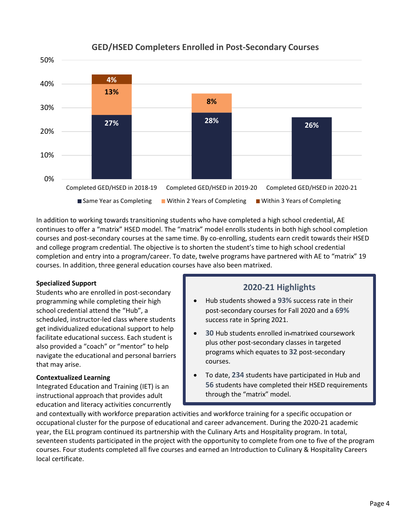

### **GED/HSED Completers Enrolled in Post-Secondary Courses**

In addition to working towards transitioning students who have completed a high school credential, AE continues to offer a "matrix" HSED model. The "matrix" model enrolls students in both high school completion courses and post-secondary courses at the same time. By co-enrolling, students earn credit towards their HSED and college program credential. The objective is to shorten the student's time to high school credential completion and entry into a program/career. To date, twelve programs have partnered with AE to "matrix" 19 courses. In addition, three general education courses have also been matrixed.

### **Specialized Support**

Students who are enrolled in post-secondary programming while completing their high school credential attend the "Hub", a scheduled, instructor-led class where students get individualized educational support to help facilitate educational success. Each student is also provided a "coach" or "mentor" to help navigate the educational and personal barriers that may arise.

### **Contextualized Learning**

Integrated Education and Training (IET) is an instructional approach that provides adult education and literacy activities concurrently

### **2020-21 Highlights**

- Hub students showed a **93%** success rate in their post-secondary courses for Fall 2020 and a **69%** success rate in Spring 2021.
- **30** Hub students enrolled in matrixed coursework plus other post-secondary classes in targeted programs which equates to **32** post-secondary courses.
- To date, **234** students have participated in Hub and **56** students have completed their HSED requirements through the "matrix" model.

and contextually with workforce preparation activities and workforce training for a specific occupation or occupational cluster for the purpose of educational and career advancement. During the 2020-21 academic year, the ELL program continued its partnership with the Culinary Arts and Hospitality program. In total, seventeen students participated in the project with the opportunity to complete from one to five of the program courses. Four students completed all five courses and earned an Introduction to Culinary & Hospitality Careers local certificate.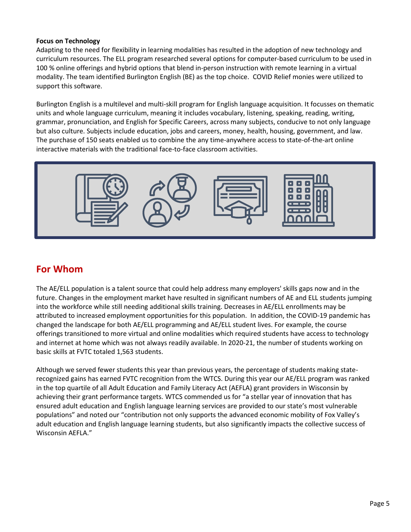### **Focus on Technology**

Adapting to the need for flexibility in learning modalities has resulted in the adoption of new technology and curriculum resources. The ELL program researched several options for computer-based curriculum to be used in 100 % online offerings and hybrid options that blend in-person instruction with remote learning in a virtual modality. The team identified Burlington English (BE) as the top choice. COVID Relief monies were utilized to support this software.

Burlington English is a multilevel and multi-skill program for English language acquisition. It focusses on thematic units and whole language curriculum, meaning it includes vocabulary, listening, speaking, reading, writing, grammar, pronunciation, and English for Specific Careers, across many subjects, conducive to not only language but also culture. Subjects include education, jobs and careers, money, health, housing, government, and law. The purchase of 150 seats enabled us to combine the any time-anywhere access to state-of-the-art online interactive materials with the traditional face-to-face classroom activities.



### **For Whom**

The AE/ELL population is a talent source that could help address many employers' skills gaps now and in the future. Changes in the employment market have resulted in significant numbers of AE and ELL students jumping into the workforce while still needing additional skills training. Decreases in AE/ELL enrollments may be attributed to increased employment opportunities for this population. In addition, the COVID-19 pandemic has changed the landscape for both AE/ELL programming and AE/ELL student lives. For example, the course offerings transitioned to more virtual and online modalities which required students have access to technology and internet at home which was not always readily available. In 2020-21, the number of students working on basic skills at FVTC totaled 1,563 students.

Although we served fewer students this year than previous years, the percentage of students making staterecognized gains has earned FVTC recognition from the WTCS. During this year our AE/ELL program was ranked in the top quartile of all Adult Education and Family Literacy Act (AEFLA) grant providers in Wisconsin by achieving their grant performance targets. WTCS commended us for "a stellar year of innovation that has ensured adult education and English language learning services are provided to our state's most vulnerable populations" and noted our "contribution not only supports the advanced economic mobility of Fox Valley's adult education and English language learning students, but also significantly impacts the collective success of Wisconsin AEFLA."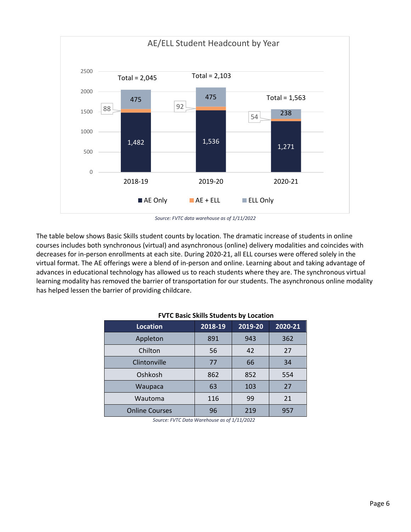

*Source: FVTC data warehouse as of 1/11/2022*

The table below shows Basic Skills student counts by location. The dramatic increase of students in online courses includes both synchronous (virtual) and asynchronous (online) delivery modalities and coincides with decreases for in-person enrollments at each site. During 2020-21, all ELL courses were offered solely in the virtual format. The AE offerings were a blend of in-person and online. Learning about and taking advantage of advances in educational technology has allowed us to reach students where they are. The synchronous virtual learning modality has removed the barrier of transportation for our students. The asynchronous online modality has helped lessen the barrier of providing childcare.

| <b>FVIC DASIC SKIIIS SUGGETILS DY LOCALION</b> |         |         |         |  |  |  |
|------------------------------------------------|---------|---------|---------|--|--|--|
| Location                                       | 2018-19 | 2019-20 | 2020-21 |  |  |  |
| Appleton                                       | 891     | 943     | 362     |  |  |  |
| Chilton                                        | 56      | 42      | 27      |  |  |  |
| Clintonville                                   | 77      | 66      | 34      |  |  |  |
| Oshkosh                                        | 862     | 852     | 554     |  |  |  |
| Waupaca                                        | 63      | 103     | 27      |  |  |  |
| Wautoma                                        | 116     | 99      | 21      |  |  |  |
| <b>Online Courses</b>                          | 96      | 219     | 957     |  |  |  |

### **FVTC Basic Skills Students by Location**

*Source: FVTC Data Warehouse as of 1/11/2022*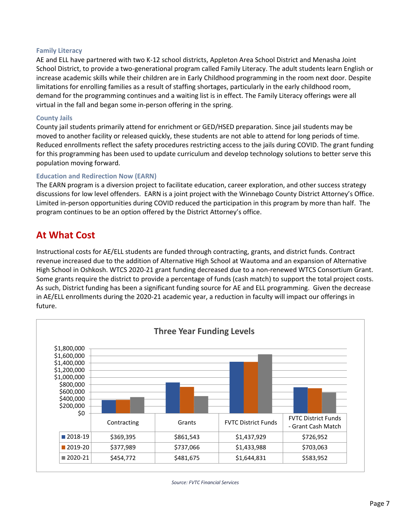### **Family Literacy**

AE and ELL have partnered with two K-12 school districts, Appleton Area School District and Menasha Joint School District, to provide a two-generational program called Family Literacy. The adult students learn English or increase academic skills while their children are in Early Childhood programming in the room next door. Despite limitations for enrolling families as a result of staffing shortages, particularly in the early childhood room, demand for the programming continues and a waiting list is in effect. The Family Literacy offerings were all virtual in the fall and began some in-person offering in the spring.

#### **County Jails**

County jail students primarily attend for enrichment or GED/HSED preparation. Since jail students may be moved to another facility or released quickly, these students are not able to attend for long periods of time. Reduced enrollments reflect the safety procedures restricting access to the jails during COVID. The grant funding for this programming has been used to update curriculum and develop technology solutions to better serve this population moving forward.

#### **Education and Redirection Now (EARN)**

The EARN program is a diversion project to facilitate education, career exploration, and other success strategy discussions for low level offenders. EARN is a joint project with the Winnebago County District Attorney's Office. Limited in-person opportunities during COVID reduced the participation in this program by more than half. The program continues to be an option offered by the District Attorney's office.

### **At What Cost**

Instructional costs for AE/ELL students are funded through contracting, grants, and district funds. Contract revenue increased due to the addition of Alternative High School at Wautoma and an expansion of Alternative High School in Oshkosh. WTCS 2020-21 grant funding decreased due to a non-renewed WTCS Consortium Grant. Some grants require the district to provide a percentage of funds (cash match) to support the total project costs. As such, District funding has been a significant funding source for AE and ELL programming. Given the decrease in AE/ELL enrollments during the 2020-21 academic year, a reduction in faculty will impact our offerings in future.



*Source: FVTC Financial Services*